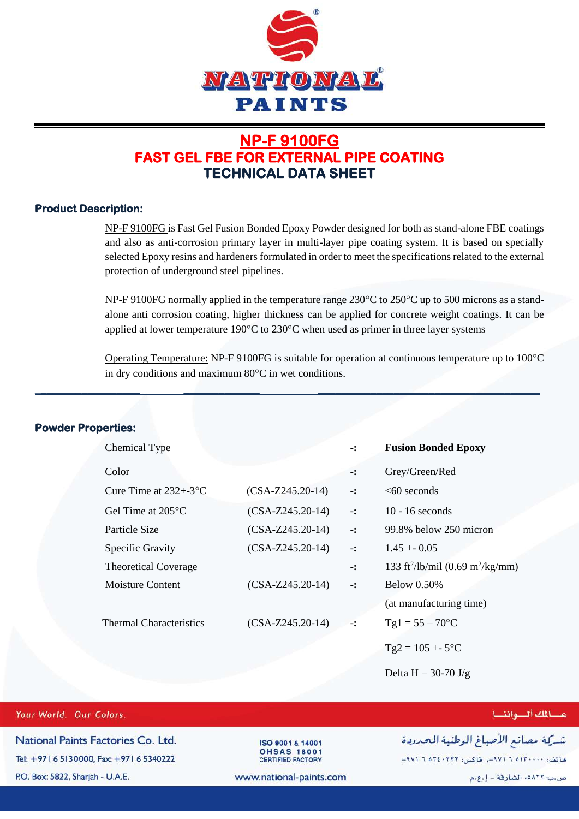

## **NP-F 9100FG FAST GEL FBE FOR EXTERNAL PIPE COATING TECHNICAL DATA SHEET**

### **Product Description:**

NP-F 9100FG is Fast Gel Fusion Bonded Epoxy Powder designed for both as stand-alone FBE coatings and also as anti-corrosion primary layer in multi-layer pipe coating system. It is based on specially selected Epoxy resins and hardeners formulated in order to meet the specifications related to the external protection of underground steel pipelines.

NP-F 9100FG normally applied in the temperature range  $230^{\circ}$ C to  $250^{\circ}$ C up to 500 microns as a standalone anti corrosion coating, higher thickness can be applied for concrete weight coatings. It can be applied at lower temperature  $190^{\circ}$ C to  $230^{\circ}$ C when used as primer in three layer systems

Operating Temperature: NP-F 9100FG is suitable for operation at continuous temperature up to  $100^{\circ}$ C in dry conditions and maximum  $80^{\circ}$ C in wet conditions.

| <b>Powder Properties:</b>      |                    |                            |                                                          |
|--------------------------------|--------------------|----------------------------|----------------------------------------------------------|
| Chemical Type                  |                    | $-$ :                      | <b>Fusion Bonded Epoxy</b>                               |
| Color                          |                    | $\ddot{\cdot}$             | Grey/Green/Red                                           |
| Cure Time at $232 + -3$ °C     | $(CSA-Z245.20-14)$ | $\mathbf{L}$               | $<60$ seconds                                            |
| Gel Time at $205^{\circ}$ C    | $(CSA-Z245.20-14)$ | $\mathbf{-}$ :             | $10 - 16$ seconds                                        |
| Particle Size                  | $(CSA-Z245.20-14)$ | $\overline{\phantom{a}}$ : | 99.8% below 250 micron                                   |
| Specific Gravity               | $(CSA-Z245.20-14)$ | $\mathbf{-}$ :             | $1.45 + 0.05$                                            |
| <b>Theoretical Coverage</b>    |                    | $\mathbf{-}$ :             | 133 ft <sup>2</sup> /lb/mil (0.69 m <sup>2</sup> /kg/mm) |
| <b>Moisture Content</b>        | $(CSA-Z245.20-14)$ | $\mathbf{-}$ :             | <b>Below 0.50%</b>                                       |
|                                |                    |                            | (at manufacturing time)                                  |
| <b>Thermal Characteristics</b> | $(CSA-Z245.20-14)$ | $-$ :                      | $Tgl = 55 - 70$ °C                                       |
|                                |                    |                            | $Tg2 = 105 + 5$ °C                                       |
|                                |                    |                            | Delta H = $30-70 \text{ J/g}$                            |

\_**\_\_\_\_\_\_\_\_\_\_\_\_\_\_\_\_\_ \_\_\_\_\_\_\_\_\_\_\_\_\_ \_\_\_\_\_\_\_\_\_\_\_\_\_\_\_\_\_\_\_\_\_\_\_\_\_\_\_\_\_\_\_\_\_\_\_\_\_\_**

### Your World. Our Colors.

National Paints Factories Co. Ltd. Tel: +971 6 5130000, Fax: +971 6 5340222 P.O. Box: 5822, Sharjah - U.A.E.

ISO 9001 & 14001 **OHSAS 18001** CERTIFIED FACTORY

# عسائك ألسواننسا

شركة مصانع الأصباغ الوطنية المحدودة

ماتف: ١٣٠٠٠٠١٥ ٦ ٩٧١م، طاكس: ٢٢٢٠٤٠٢ ٦ ٩٧١م+

www.national-paints.com

ص.ب: ٥٨٢٢ه، الشارقة - إ.ع.م